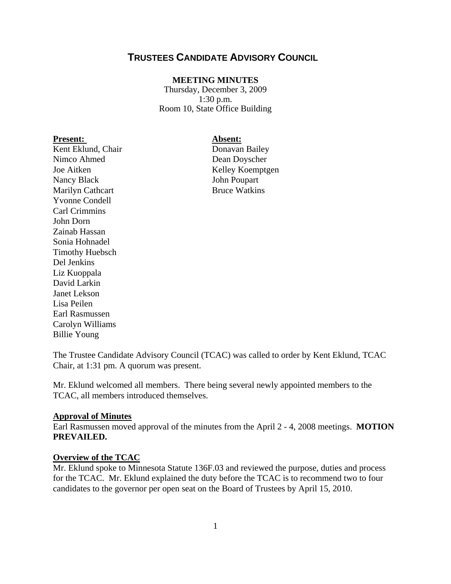# **TRUSTEES CANDIDATE ADVISORY COUNCIL**

#### **MEETING MINUTES**

Thursday, December 3, 2009 1:30 p.m. Room 10, State Office Building

#### Present: Absent:

Kent Eklund, Chair Donavan Bailey Nimco Ahmed Dean Doyscher Joe Aitken Kelley Koemptgen Nancy Black John Poupart Marilyn Cathcart Bruce Watkins Yvonne Condell Carl Crimmins John Dorn Zainab Hassan Sonia Hohnadel Timothy Huebsch Del Jenkins Liz Kuoppala David Larkin Janet Lekson Lisa Peilen Earl Rasmussen Carolyn Williams Billie Young

The Trustee Candidate Advisory Council (TCAC) was called to order by Kent Eklund, TCAC Chair, at 1:31 pm. A quorum was present.

Mr. Eklund welcomed all members. There being several newly appointed members to the TCAC, all members introduced themselves.

#### **Approval of Minutes**

Earl Rasmussen moved approval of the minutes from the April 2 - 4, 2008 meetings. **MOTION PREVAILED.**

#### **Overview of the TCAC**

Mr. Eklund spoke to Minnesota Statute 136F.03 and reviewed the purpose, duties and process for the TCAC. Mr. Eklund explained the duty before the TCAC is to recommend two to four candidates to the governor per open seat on the Board of Trustees by April 15, 2010.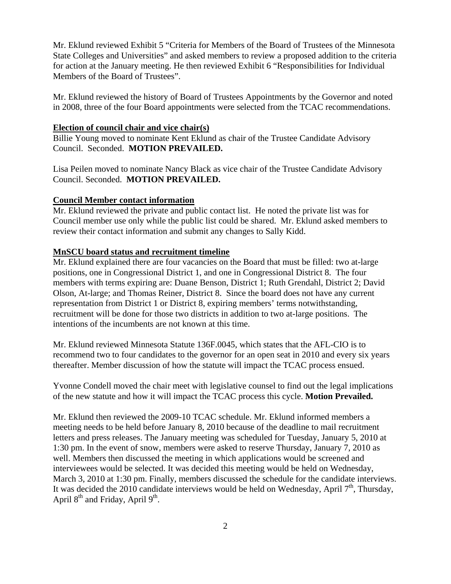Mr. Eklund reviewed Exhibit 5 "Criteria for Members of the Board of Trustees of the Minnesota State Colleges and Universities" and asked members to review a proposed addition to the criteria for action at the January meeting. He then reviewed Exhibit 6 "Responsibilities for Individual Members of the Board of Trustees".

Mr. Eklund reviewed the history of Board of Trustees Appointments by the Governor and noted in 2008, three of the four Board appointments were selected from the TCAC recommendations.

#### **Election of council chair and vice chair(s)**

Billie Young moved to nominate Kent Eklund as chair of the Trustee Candidate Advisory Council. Seconded. **MOTION PREVAILED.** 

Lisa Peilen moved to nominate Nancy Black as vice chair of the Trustee Candidate Advisory Council. Seconded. **MOTION PREVAILED.** 

#### **Council Member contact information**

Mr. Eklund reviewed the private and public contact list. He noted the private list was for Council member use only while the public list could be shared. Mr. Eklund asked members to review their contact information and submit any changes to Sally Kidd.

### **MnSCU board status and recruitment timeline**

Mr. Eklund explained there are four vacancies on the Board that must be filled: two at-large positions, one in Congressional District 1, and one in Congressional District 8. The four members with terms expiring are: Duane Benson, District 1; Ruth Grendahl, District 2; David Olson, At-large; and Thomas Reiner, District 8. Since the board does not have any current representation from District 1 or District 8, expiring members' terms notwithstanding, recruitment will be done for those two districts in addition to two at-large positions. The intentions of the incumbents are not known at this time.

Mr. Eklund reviewed Minnesota Statute 136F.0045, which states that the AFL-CIO is to recommend two to four candidates to the governor for an open seat in 2010 and every six years thereafter. Member discussion of how the statute will impact the TCAC process ensued.

Yvonne Condell moved the chair meet with legislative counsel to find out the legal implications of the new statute and how it will impact the TCAC process this cycle. **Motion Prevailed.**

Mr. Eklund then reviewed the 2009-10 TCAC schedule. Mr. Eklund informed members a meeting needs to be held before January 8, 2010 because of the deadline to mail recruitment letters and press releases. The January meeting was scheduled for Tuesday, January 5, 2010 at 1:30 pm. In the event of snow, members were asked to reserve Thursday, January 7, 2010 as well. Members then discussed the meeting in which applications would be screened and interviewees would be selected. It was decided this meeting would be held on Wednesday, March 3, 2010 at 1:30 pm. Finally, members discussed the schedule for the candidate interviews. It was decided the 2010 candidate interviews would be held on Wednesday, April  $7<sup>th</sup>$ , Thursday, April  $8<sup>th</sup>$  and Friday, April  $9<sup>th</sup>$ .